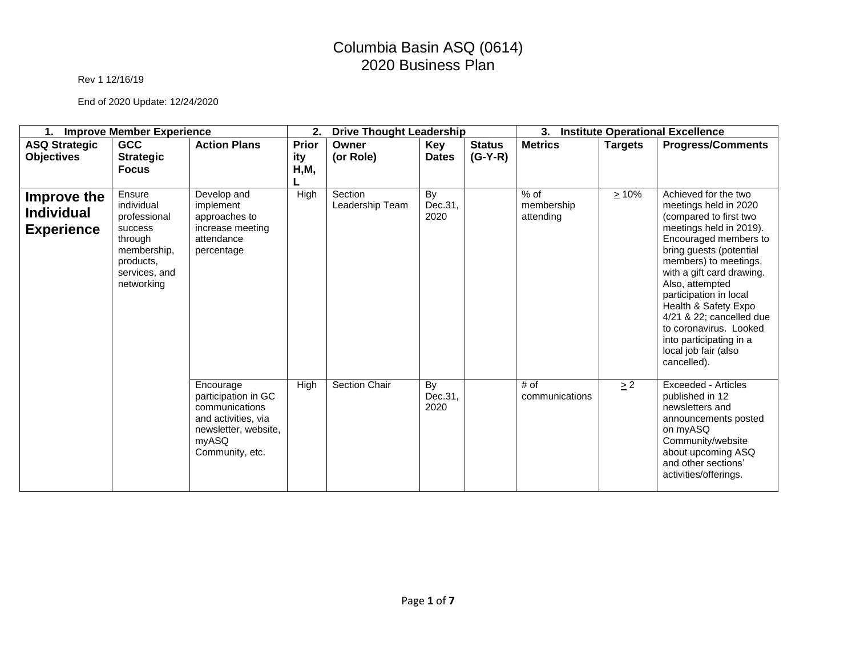#### Rev 1 12/16/19

| <b>Improve Member Experience</b><br>1.                |                                                                                                                       |                                                                                                                               | 2.<br><b>Drive Thought Leadership</b> |                            |                       |               | 3.<br><b>Institute Operational Excellence</b> |                |                                                                                                                                                                                                                                                                                                                                                                                                           |
|-------------------------------------------------------|-----------------------------------------------------------------------------------------------------------------------|-------------------------------------------------------------------------------------------------------------------------------|---------------------------------------|----------------------------|-----------------------|---------------|-----------------------------------------------|----------------|-----------------------------------------------------------------------------------------------------------------------------------------------------------------------------------------------------------------------------------------------------------------------------------------------------------------------------------------------------------------------------------------------------------|
| <b>ASQ Strategic</b>                                  | <b>GCC</b>                                                                                                            | <b>Action Plans</b>                                                                                                           | Prior                                 | Owner                      | <b>Key</b>            | <b>Status</b> | <b>Metrics</b>                                | <b>Targets</b> | <b>Progress/Comments</b>                                                                                                                                                                                                                                                                                                                                                                                  |
| <b>Objectives</b>                                     | <b>Strategic</b><br><b>Focus</b>                                                                                      |                                                                                                                               | ity<br>H, M,                          | (or Role)                  | <b>Dates</b>          | $(G-Y-R)$     |                                               |                |                                                                                                                                                                                                                                                                                                                                                                                                           |
| Improve the<br><b>Individual</b><br><b>Experience</b> | Ensure<br>individual<br>professional<br>success<br>through<br>membership,<br>products.<br>services, and<br>networking | Develop and<br>implement<br>approaches to<br>increase meeting<br>attendance<br>percentage                                     | High                                  | Section<br>Leadership Team | By<br>Dec.31,<br>2020 |               | $%$ of<br>membership<br>attending             | $\geq 10\%$    | Achieved for the two<br>meetings held in 2020<br>(compared to first two<br>meetings held in 2019).<br>Encouraged members to<br>bring guests (potential<br>members) to meetings,<br>with a gift card drawing.<br>Also, attempted<br>participation in local<br>Health & Safety Expo<br>4/21 & 22; cancelled due<br>to coronavirus. Looked<br>into participating in a<br>local job fair (also<br>cancelled). |
|                                                       |                                                                                                                       | Encourage<br>participation in GC<br>communications<br>and activities, via<br>newsletter, website,<br>myASQ<br>Community, etc. | High                                  | Section Chair              | By<br>Dec.31,<br>2020 |               | # of<br>communications                        | $\geq$ 2       | <b>Exceeded - Articles</b><br>published in 12<br>newsletters and<br>announcements posted<br>on myASQ<br>Community/website<br>about upcoming ASQ<br>and other sections'<br>activities/offerings.                                                                                                                                                                                                           |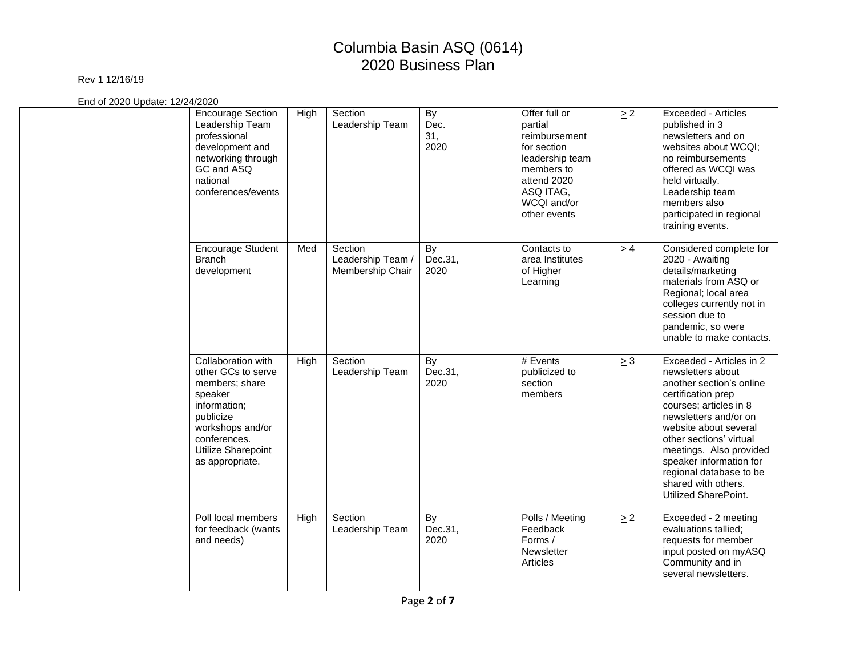### Rev 1 12/16/19

| <b>Encourage Section</b><br>Leadership Team<br>professional<br>development and<br>networking through<br>GC and ASQ<br>national<br>conferences/events                            | High | Section<br>Leadership Team                       | <b>By</b><br>Dec.<br>31,<br>2020 | Offer full or<br>partial<br>reimbursement<br>for section<br>leadership team<br>members to<br>attend 2020<br>ASQ ITAG,<br>WCQI and/or<br>other events | $\geq$ 2 | <b>Exceeded - Articles</b><br>published in 3<br>newsletters and on<br>websites about WCQI;<br>no reimbursements<br>offered as WCQI was<br>held virtually.<br>Leadership team<br>members also<br>participated in regional<br>training events.                                                                                           |
|---------------------------------------------------------------------------------------------------------------------------------------------------------------------------------|------|--------------------------------------------------|----------------------------------|------------------------------------------------------------------------------------------------------------------------------------------------------|----------|----------------------------------------------------------------------------------------------------------------------------------------------------------------------------------------------------------------------------------------------------------------------------------------------------------------------------------------|
| <b>Encourage Student</b><br><b>Branch</b><br>development                                                                                                                        | Med  | Section<br>Leadership Team /<br>Membership Chair | <b>By</b><br>Dec.31,<br>2020     | Contacts to<br>area Institutes<br>of Higher<br>Learning                                                                                              | $\geq 4$ | Considered complete for<br>2020 - Awaiting<br>details/marketing<br>materials from ASQ or<br>Regional; local area<br>colleges currently not in<br>session due to<br>pandemic, so were<br>unable to make contacts.                                                                                                                       |
| Collaboration with<br>other GCs to serve<br>members; share<br>speaker<br>information:<br>publicize<br>workshops and/or<br>conferences.<br>Utilize Sharepoint<br>as appropriate. | High | Section<br>Leadership Team                       | By<br>Dec.31,<br>2020            | # Events<br>publicized to<br>section<br>members                                                                                                      | $\geq 3$ | Exceeded - Articles in 2<br>newsletters about<br>another section's online<br>certification prep<br>courses; articles in 8<br>newsletters and/or on<br>website about several<br>other sections' virtual<br>meetings. Also provided<br>speaker information for<br>regional database to be<br>shared with others.<br>Utilized SharePoint. |
| Poll local members<br>for feedback (wants<br>and needs)                                                                                                                         | High | Section<br>Leadership Team                       | By<br>Dec.31,<br>2020            | Polls / Meeting<br>Feedback<br>Forms /<br>Newsletter<br>Articles                                                                                     | $\geq$ 2 | Exceeded - 2 meeting<br>evaluations tallied;<br>requests for member<br>input posted on myASQ<br>Community and in<br>several newsletters.                                                                                                                                                                                               |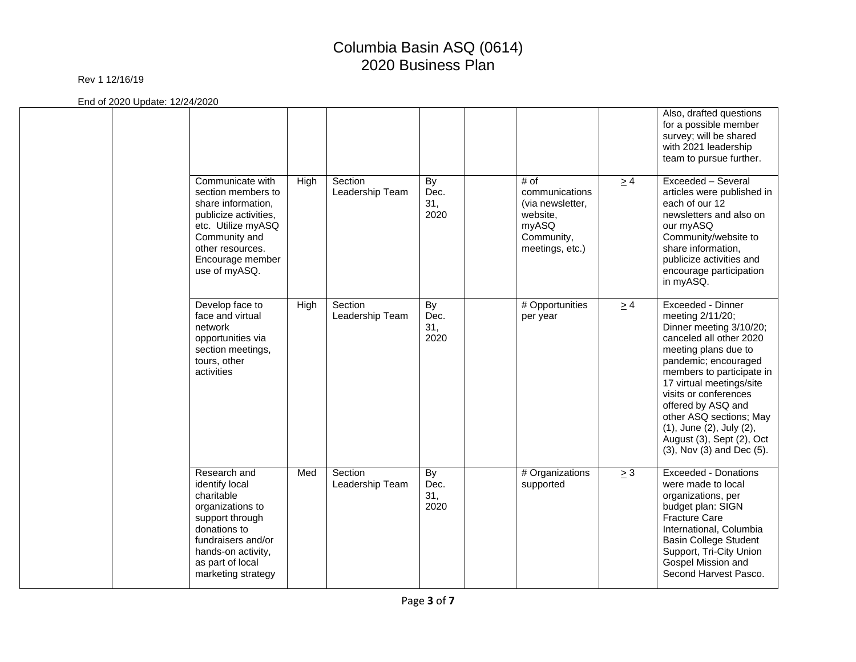#### Rev 1 12/16/19

|  |                                                                                                                                                                                           |      |                            |                           |                                                                                                  |          | Also, drafted questions<br>for a possible member<br>survey; will be shared<br>with 2021 leadership<br>team to pursue further.                                                                                                                                                                                                                                        |
|--|-------------------------------------------------------------------------------------------------------------------------------------------------------------------------------------------|------|----------------------------|---------------------------|--------------------------------------------------------------------------------------------------|----------|----------------------------------------------------------------------------------------------------------------------------------------------------------------------------------------------------------------------------------------------------------------------------------------------------------------------------------------------------------------------|
|  | Communicate with<br>section members to<br>share information,<br>publicize activities,<br>etc. Utilize myASQ<br>Community and<br>other resources.<br>Encourage member<br>use of myASQ.     | High | Section<br>Leadership Team | By<br>Dec.<br>31,<br>2020 | # of<br>communications<br>(via newsletter,<br>website,<br>myASQ<br>Community,<br>meetings, etc.) | $\geq 4$ | Exceeded - Several<br>articles were published in<br>each of our 12<br>newsletters and also on<br>our myASQ<br>Community/website to<br>share information,<br>publicize activities and<br>encourage participation<br>in myASQ.                                                                                                                                         |
|  | Develop face to<br>face and virtual<br>network<br>opportunities via<br>section meetings,<br>tours, other<br>activities                                                                    | High | Section<br>Leadership Team | By<br>Dec.<br>31,<br>2020 | # Opportunities<br>per year                                                                      | $\geq 4$ | Exceeded - Dinner<br>meeting 2/11/20;<br>Dinner meeting 3/10/20;<br>canceled all other 2020<br>meeting plans due to<br>pandemic; encouraged<br>members to participate in<br>17 virtual meetings/site<br>visits or conferences<br>offered by ASQ and<br>other ASQ sections; May<br>(1), June (2), July (2),<br>August (3), Sept (2), Oct<br>(3), Nov (3) and Dec (5). |
|  | Research and<br>identify local<br>charitable<br>organizations to<br>support through<br>donations to<br>fundraisers and/or<br>hands-on activity,<br>as part of local<br>marketing strategy | Med  | Section<br>Leadership Team | By<br>Dec.<br>31,<br>2020 | # Organizations<br>supported                                                                     | $\geq 3$ | <b>Exceeded - Donations</b><br>were made to local<br>organizations, per<br>budget plan: SIGN<br><b>Fracture Care</b><br>International, Columbia<br><b>Basin College Student</b><br>Support, Tri-City Union<br>Gospel Mission and<br>Second Harvest Pasco.                                                                                                            |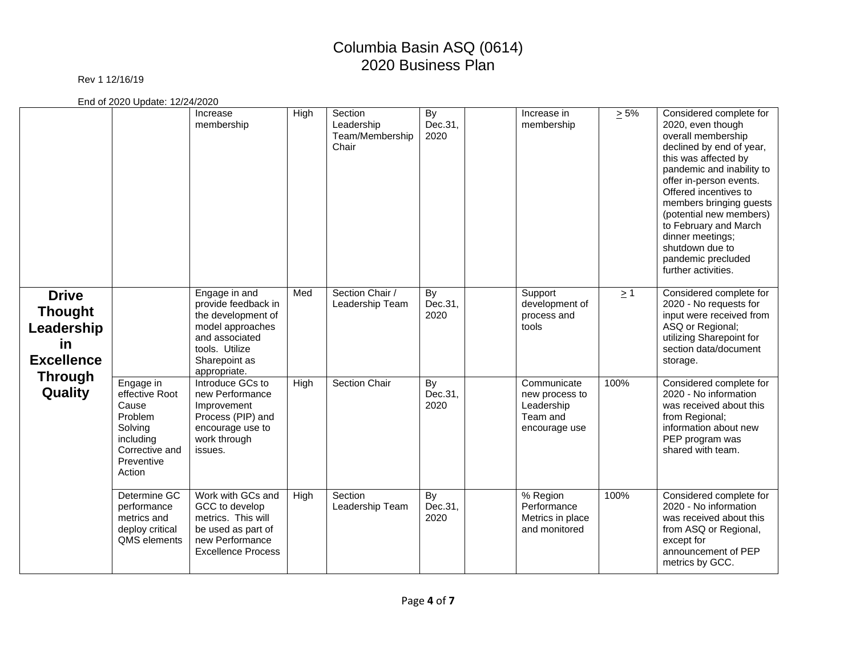### Rev 1 12/16/19

|                                                                                           |                                                                                                                   | Increase<br>membership                                                                                                                              | High | Section<br>Leadership<br>Team/Membership<br>Chair | By<br>Dec.31,<br>2020 | Increase in<br>membership                                                | $\geq 5\%$ | Considered complete for<br>2020, even though<br>overall membership<br>declined by end of year,<br>this was affected by<br>pandemic and inability to<br>offer in-person events.<br>Offered incentives to<br>members bringing guests<br>(potential new members)<br>to February and March<br>dinner meetings;<br>shutdown due to<br>pandemic precluded<br>further activities. |
|-------------------------------------------------------------------------------------------|-------------------------------------------------------------------------------------------------------------------|-----------------------------------------------------------------------------------------------------------------------------------------------------|------|---------------------------------------------------|-----------------------|--------------------------------------------------------------------------|------------|----------------------------------------------------------------------------------------------------------------------------------------------------------------------------------------------------------------------------------------------------------------------------------------------------------------------------------------------------------------------------|
| <b>Drive</b><br><b>Thought</b><br>Leadership<br>in<br><b>Excellence</b><br><b>Through</b> |                                                                                                                   | Engage in and<br>provide feedback in<br>the development of<br>model approaches<br>and associated<br>tools. Utilize<br>Sharepoint as<br>appropriate. | Med  | Section Chair /<br>Leadership Team                | By<br>Dec.31,<br>2020 | Support<br>development of<br>process and<br>tools                        | $\geq$ 1   | Considered complete for<br>2020 - No requests for<br>input were received from<br>ASQ or Regional;<br>utilizing Sharepoint for<br>section data/document<br>storage.                                                                                                                                                                                                         |
| Quality                                                                                   | Engage in<br>effective Root<br>Cause<br>Problem<br>Solving<br>including<br>Corrective and<br>Preventive<br>Action | Introduce GCs to<br>new Performance<br>Improvement<br>Process (PIP) and<br>encourage use to<br>work through<br>issues.                              | High | Section Chair                                     | By<br>Dec.31,<br>2020 | Communicate<br>new process to<br>Leadership<br>Team and<br>encourage use | 100%       | Considered complete for<br>2020 - No information<br>was received about this<br>from Regional;<br>information about new<br>PEP program was<br>shared with team.                                                                                                                                                                                                             |
|                                                                                           | Determine GC<br>performance<br>metrics and<br>deploy critical<br>QMS elements                                     | Work with GCs and<br>GCC to develop<br>metrics. This will<br>be used as part of<br>new Performance<br><b>Excellence Process</b>                     | High | Section<br>Leadership Team                        | By<br>Dec.31,<br>2020 | % Region<br>Performance<br>Metrics in place<br>and monitored             | 100%       | Considered complete for<br>2020 - No information<br>was received about this<br>from ASQ or Regional,<br>except for<br>announcement of PEP<br>metrics by GCC.                                                                                                                                                                                                               |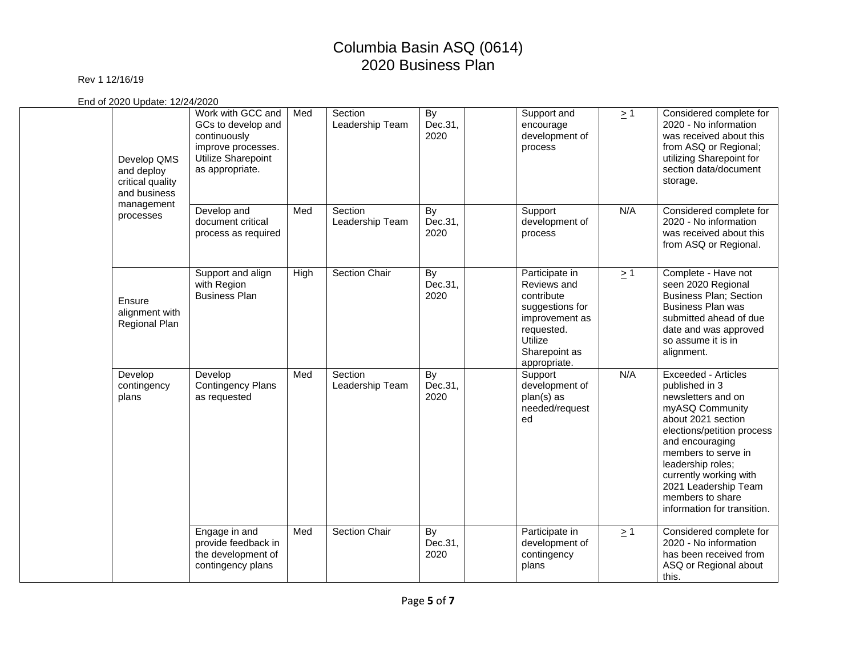### Rev 1 12/16/19

| Develop QMS<br>and deploy<br>critical quality<br>and business | Work with GCC and<br>GCs to develop and<br>continuously<br>improve processes.<br>Utilize Sharepoint<br>as appropriate. | Med  | Section<br>Leadership Team | By<br>Dec.31,<br>2020 | Support and<br>encourage<br>development of<br>process                                                                                      | $\geq$ 1 | Considered complete for<br>2020 - No information<br>was received about this<br>from ASQ or Regional;<br>utilizing Sharepoint for<br>section data/document<br>storage.                                                                                                                                  |
|---------------------------------------------------------------|------------------------------------------------------------------------------------------------------------------------|------|----------------------------|-----------------------|--------------------------------------------------------------------------------------------------------------------------------------------|----------|--------------------------------------------------------------------------------------------------------------------------------------------------------------------------------------------------------------------------------------------------------------------------------------------------------|
| management<br>processes                                       | Develop and<br>document critical<br>process as required                                                                | Med  | Section<br>Leadership Team | By<br>Dec.31,<br>2020 | Support<br>development of<br>process                                                                                                       | N/A      | Considered complete for<br>2020 - No information<br>was received about this<br>from ASQ or Regional.                                                                                                                                                                                                   |
| Ensure<br>alignment with<br>Regional Plan                     | Support and align<br>with Region<br><b>Business Plan</b>                                                               | High | <b>Section Chair</b>       | By<br>Dec.31,<br>2020 | Participate in<br>Reviews and<br>contribute<br>suggestions for<br>improvement as<br>requested.<br>Utilize<br>Sharepoint as<br>appropriate. | $\geq$ 1 | Complete - Have not<br>seen 2020 Regional<br><b>Business Plan; Section</b><br><b>Business Plan was</b><br>submitted ahead of due<br>date and was approved<br>so assume it is in<br>alignment.                                                                                                          |
| Develop<br>contingency<br>plans                               | Develop<br><b>Contingency Plans</b><br>as requested                                                                    | Med  | Section<br>Leadership Team | By<br>Dec.31,<br>2020 | Support<br>development of<br>plan(s) as<br>needed/request<br>ed                                                                            | N/A      | Exceeded - Articles<br>published in 3<br>newsletters and on<br>myASQ Community<br>about 2021 section<br>elections/petition process<br>and encouraging<br>members to serve in<br>leadership roles;<br>currently working with<br>2021 Leadership Team<br>members to share<br>information for transition. |
|                                                               | Engage in and<br>provide feedback in<br>the development of<br>contingency plans                                        | Med  | <b>Section Chair</b>       | By<br>Dec.31,<br>2020 | Participate in<br>development of<br>contingency<br>plans                                                                                   | $\geq$ 1 | Considered complete for<br>2020 - No information<br>has been received from<br>ASQ or Regional about<br>this.                                                                                                                                                                                           |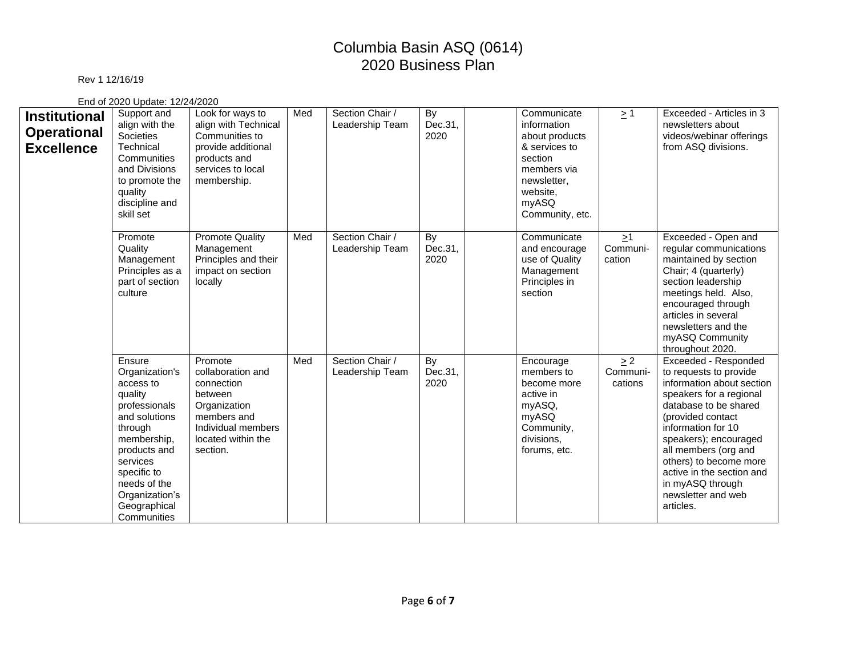### Rev 1 12/16/19

| <b>Institutional</b><br><b>Operational</b><br><b>Excellence</b> | Support and<br>align with the<br>Societies<br>Technical<br>Communities<br>and Divisions<br>to promote the<br>quality<br>discipline and<br>skill set                                                                      | Look for ways to<br>align with Technical<br>Communities to<br>provide additional<br>products and<br>services to local<br>membership.         | Med | Section Chair /<br>Leadership Team | By<br>Dec.31,<br>2020 | Communicate<br>information<br>about products<br>& services to<br>section<br>members via<br>newsletter.<br>website.<br>myASQ<br>Community, etc. | $\geq$ 1                       | Exceeded - Articles in 3<br>newsletters about<br>videos/webinar offerings<br>from ASQ divisions.                                                                                                                                                                                                                                          |
|-----------------------------------------------------------------|--------------------------------------------------------------------------------------------------------------------------------------------------------------------------------------------------------------------------|----------------------------------------------------------------------------------------------------------------------------------------------|-----|------------------------------------|-----------------------|------------------------------------------------------------------------------------------------------------------------------------------------|--------------------------------|-------------------------------------------------------------------------------------------------------------------------------------------------------------------------------------------------------------------------------------------------------------------------------------------------------------------------------------------|
|                                                                 | Promote<br>Quality<br>Management<br>Principles as a<br>part of section<br>culture                                                                                                                                        | <b>Promote Quality</b><br>Management<br>Principles and their<br>impact on section<br>locally                                                 | Med | Section Chair /<br>Leadership Team | By<br>Dec.31,<br>2020 | Communicate<br>and encourage<br>use of Quality<br>Management<br>Principles in<br>section                                                       | $\geq$ 1<br>Communi-<br>cation | Exceeded - Open and<br>regular communications<br>maintained by section<br>Chair; 4 (quarterly)<br>section leadership<br>meetings held. Also,<br>encouraged through<br>articles in several<br>newsletters and the<br>myASQ Community<br>throughout 2020.                                                                                   |
|                                                                 | Ensure<br>Organization's<br>access to<br>quality<br>professionals<br>and solutions<br>through<br>membership,<br>products and<br>services<br>specific to<br>needs of the<br>Organization's<br>Geographical<br>Communities | Promote<br>collaboration and<br>connection<br>between<br>Organization<br>members and<br>Individual members<br>located within the<br>section. | Med | Section Chair /<br>Leadership Team | By<br>Dec.31,<br>2020 | Encourage<br>members to<br>become more<br>active in<br>myASQ,<br>myASQ<br>Community,<br>divisions,<br>forums, etc.                             | > 2<br>Communi-<br>cations     | Exceeded - Responded<br>to requests to provide<br>information about section<br>speakers for a regional<br>database to be shared<br>(provided contact<br>information for 10<br>speakers); encouraged<br>all members (org and<br>others) to become more<br>active in the section and<br>in myASQ through<br>newsletter and web<br>articles. |